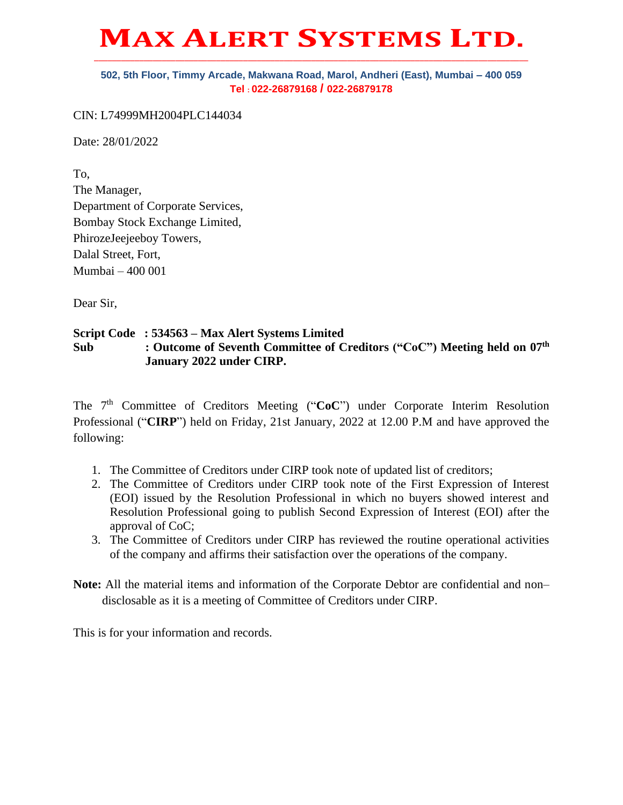## **MAX ALERT SYSTEMS LTD. \_\_\_\_\_\_\_\_\_\_\_\_\_\_\_\_\_\_\_\_\_\_\_\_\_\_\_\_\_\_\_\_\_\_\_\_\_\_\_\_\_\_\_\_\_\_\_\_\_\_\_\_\_\_\_\_\_\_\_\_\_\_\_\_\_\_\_\_\_\_\_\_\_\_\_\_\_\_\_\_\_\_\_\_\_\_\_\_\_\_\_\_\_\_\_\_**

## **502, 5th Floor, Timmy Arcade, Makwana Road, Marol, Andheri (East), Mumbai – 400 059 Tel : 022-26879168 / 022-26879178**

CIN: L74999MH2004PLC144034

Date: 28/01/2022

To, The Manager, Department of Corporate Services, Bombay Stock Exchange Limited, PhirozeJeejeeboy Towers, Dalal Street, Fort, Mumbai – 400 001

Dear Sir,

## **Script Code : 534563 – Max Alert Systems Limited Sub : Outcome of Seventh Committee of Creditors ("CoC") Meeting held on 07th January 2022 under CIRP.**

The 7<sup>th</sup> Committee of Creditors Meeting ("CoC") under Corporate Interim Resolution Professional ("**CIRP**") held on Friday, 21st January, 2022 at 12.00 P.M and have approved the following:

- 1. The Committee of Creditors under CIRP took note of updated list of creditors;
- 2. The Committee of Creditors under CIRP took note of the First Expression of Interest (EOI) issued by the Resolution Professional in which no buyers showed interest and Resolution Professional going to publish Second Expression of Interest (EOI) after the approval of CoC;
- 3. The Committee of Creditors under CIRP has reviewed the routine operational activities of the company and affirms their satisfaction over the operations of the company.

**Note:** All the material items and information of the Corporate Debtor are confidential and non– disclosable as it is a meeting of Committee of Creditors under CIRP.

This is for your information and records.